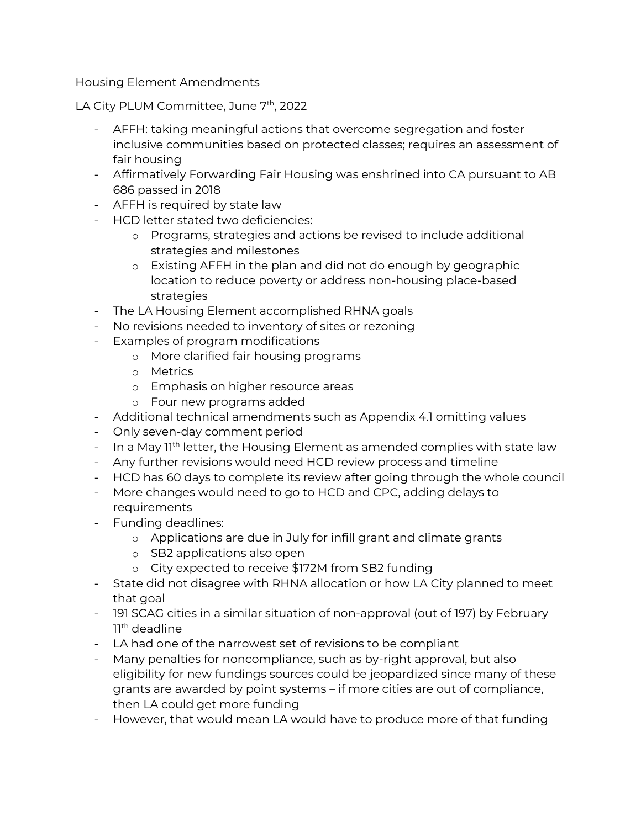Housing Element Amendments

## LA City PLUM Committee, June 7<sup>th</sup>, 2022

- AFFH: taking meaningful actions that overcome segregation and foster inclusive communities based on protected classes; requires an assessment of fair housing
- Affirmatively Forwarding Fair Housing was enshrined into CA pursuant to AB 686 passed in 2018
- AFFH is required by state law
- HCD letter stated two deficiencies:
	- o Programs, strategies and actions be revised to include additional strategies and milestones
	- o Existing AFFH in the plan and did not do enough by geographic location to reduce poverty or address non-housing place-based strategies
- The LA Housing Element accomplished RHNA goals
- No revisions needed to inventory of sites or rezoning
- Examples of program modifications
	- o More clarified fair housing programs
	- o Metrics
	- o Emphasis on higher resource areas
	- o Four new programs added
- Additional technical amendments such as Appendix 4.1 omitting values
- Only seven-day comment period
- In a May 1<sup>th</sup> letter, the Housing Element as amended complies with state law
- Any further revisions would need HCD review process and timeline
- HCD has 60 days to complete its review after going through the whole council
- More changes would need to go to HCD and CPC, adding delays to requirements
- Funding deadlines:
	- o Applications are due in July for infill grant and climate grants
	- o SB2 applications also open
	- o City expected to receive \$172M from SB2 funding
- State did not disagree with RHNA allocation or how LA City planned to meet that goal
- 191 SCAG cities in a similar situation of non-approval (out of 197) by February 11th deadline
- LA had one of the narrowest set of revisions to be compliant
- Many penalties for noncompliance, such as by-right approval, but also eligibility for new fundings sources could be jeopardized since many of these grants are awarded by point systems – if more cities are out of compliance, then LA could get more funding
- However, that would mean LA would have to produce more of that funding